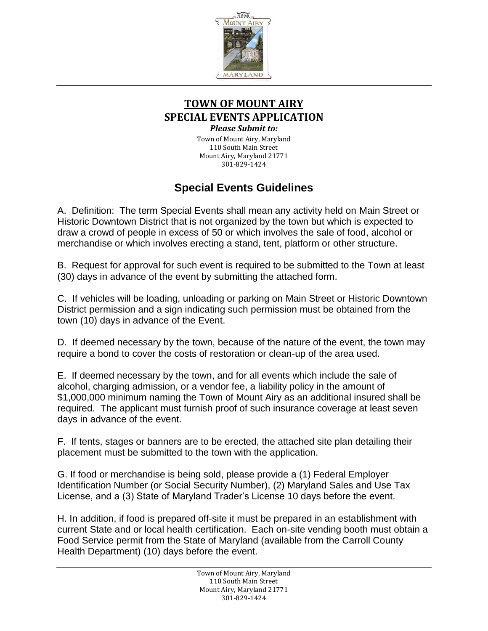

## **TOWN OF MOUNT AIRY SPECIAL EVENTS APPLICATION** *Please Submit to:*

Town of Mount Airy, Maryland 110 South Main Street Mount Airy, Maryland 21771 301-829-1424

# **Special Events Guidelines**

A. Definition: The term Special Events shall mean any activity held on Main Street or Historic Downtown District that is not organized by the town but which is expected to draw a crowd of people in excess of 50 or which involves the sale of food, alcohol or merchandise or which involves erecting a stand, tent, platform or other structure.

B. Request for approval for such event is required to be submitted to the Town at least (30) days in advance of the event by submitting the attached form.

C. If vehicles will be loading, unloading or parking on Main Street or Historic Downtown District permission and a sign indicating such permission must be obtained from the town (10) days in advance of the Event.

D. If deemed necessary by the town, because of the nature of the event, the town may require a bond to cover the costs of restoration or clean-up of the area used.

E. If deemed necessary by the town, and for all events which include the sale of alcohol, charging admission, or a vendor fee, a liability policy in the amount of \$1,000,000 minimum naming the Town of Mount Airy as an additional insured shall be required. The applicant must furnish proof of such insurance coverage at least seven days in advance of the event.

F. If tents, stages or banners are to be erected, the attached site plan detailing their placement must be submitted to the town with the application.

G. If food or merchandise is being sold, please provide a (1) Federal Employer Identification Number (or Social Security Number), (2) Maryland Sales and Use Tax License, and a (3) State of Maryland Trader's License 10 days before the event.

H. In addition, if food is prepared off-site it must be prepared in an establishment with current State and or local health certification. Each on-site vending booth must obtain a Food Service permit from the State of Maryland (available from the Carroll County Health Department) (10) days before the event.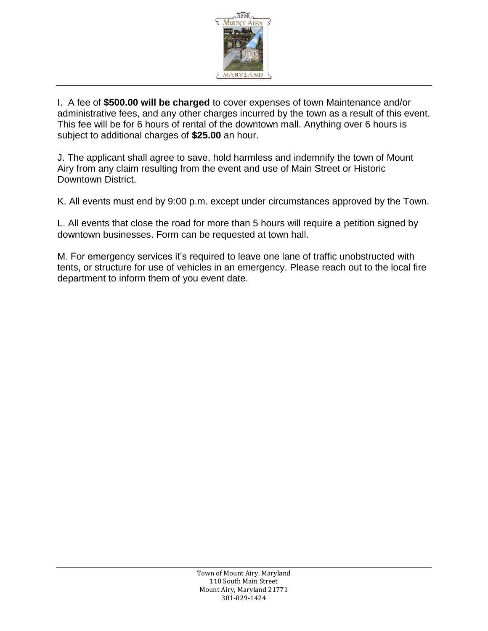

I. A fee of **\$500.00 will be charged** to cover expenses of town Maintenance and/or administrative fees, and any other charges incurred by the town as a result of this event. This fee will be for 6 hours of rental of the downtown mall. Anything over 6 hours is subject to additional charges of **\$25.00** an hour.

J. The applicant shall agree to save, hold harmless and indemnify the town of Mount Airy from any claim resulting from the event and use of Main Street or Historic Downtown District.

K. All events must end by 9:00 p.m. except under circumstances approved by the Town.

L. All events that close the road for more than 5 hours will require a petition signed by downtown businesses. Form can be requested at town hall.

M. For emergency services it's required to leave one lane of traffic unobstructed with tents, or structure for use of vehicles in an emergency. Please reach out to the local fire department to inform them of you event date.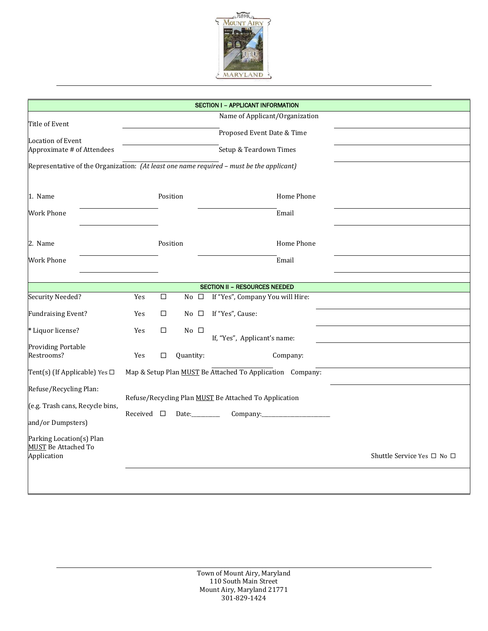

| <b>SECTION I - APPLICANT INFORMATION</b>                                                 |                                                           |        |                |  |                                      |                            |  |  |
|------------------------------------------------------------------------------------------|-----------------------------------------------------------|--------|----------------|--|--------------------------------------|----------------------------|--|--|
| Title of Event                                                                           | Name of Applicant/Organization                            |        |                |  |                                      |                            |  |  |
|                                                                                          |                                                           |        |                |  | Proposed Event Date & Time           |                            |  |  |
| <b>Location of Event</b>                                                                 |                                                           |        |                |  |                                      |                            |  |  |
| Approximate # of Attendees<br>Setup & Teardown Times                                     |                                                           |        |                |  |                                      |                            |  |  |
| Representative of the Organization: (At least one name required - must be the applicant) |                                                           |        |                |  |                                      |                            |  |  |
|                                                                                          |                                                           |        |                |  |                                      |                            |  |  |
| 1. Name                                                                                  |                                                           |        |                |  | Home Phone                           |                            |  |  |
| Work Phone                                                                               |                                                           |        |                |  | Email                                |                            |  |  |
|                                                                                          |                                                           |        |                |  |                                      |                            |  |  |
| 2. Name                                                                                  |                                                           |        | Position       |  | Home Phone                           |                            |  |  |
| <b>Work Phone</b>                                                                        |                                                           |        |                |  | Email                                |                            |  |  |
|                                                                                          |                                                           |        |                |  |                                      |                            |  |  |
|                                                                                          |                                                           |        |                |  | <b>SECTION II - RESOURCES NEEDED</b> |                            |  |  |
| Security Needed?                                                                         | Yes                                                       | $\Box$ | No $\Box$      |  | If "Yes", Company You will Hire:     |                            |  |  |
| <b>Fundraising Event?</b>                                                                | Yes                                                       | $\Box$ | No $\square$   |  | If "Yes", Cause:                     |                            |  |  |
| * Liquor license?                                                                        | Yes                                                       | $\Box$ | $No$ $\square$ |  | If, "Yes", Applicant's name:         |                            |  |  |
| <b>Providing Portable</b>                                                                |                                                           |        |                |  |                                      |                            |  |  |
| Restrooms?                                                                               | Yes                                                       | $\Box$ | Quantity:      |  | Company:                             |                            |  |  |
| Tent(s) (If Applicable) Yes $\square$                                                    | Map & Setup Plan MUST Be Attached To Application Company: |        |                |  |                                      |                            |  |  |
| Refuse/Recycling Plan:                                                                   |                                                           |        |                |  |                                      |                            |  |  |
| Refuse/Recycling Plan MUST Be Attached To Application<br>(e.g. Trash cans, Recycle bins, |                                                           |        |                |  |                                      |                            |  |  |
| and/or Dumpsters)                                                                        | Received $\square$<br>Date:_________                      |        |                |  |                                      |                            |  |  |
| Parking Location(s) Plan                                                                 |                                                           |        |                |  |                                      |                            |  |  |
| <b>MUST Be Attached To</b>                                                               |                                                           |        |                |  |                                      |                            |  |  |
| Application                                                                              |                                                           |        |                |  |                                      | Shuttle Service Yes □ No □ |  |  |
|                                                                                          |                                                           |        |                |  |                                      |                            |  |  |
|                                                                                          |                                                           |        |                |  |                                      |                            |  |  |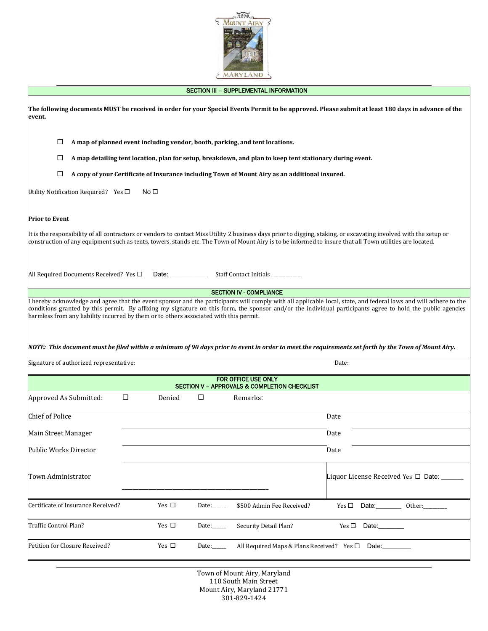

#### SECTION III - SUPPLEMENTAL INFORMATION

| The following documents MUST be received in order for your Special Events Permit to be approved. Please submit at least 180 days in advance of the<br>event.                                                                                                                                                                                                                                                                                                                                                                                                                    |                                                                                                 |                       |                                                   |                                        |  |  |
|---------------------------------------------------------------------------------------------------------------------------------------------------------------------------------------------------------------------------------------------------------------------------------------------------------------------------------------------------------------------------------------------------------------------------------------------------------------------------------------------------------------------------------------------------------------------------------|-------------------------------------------------------------------------------------------------|-----------------------|---------------------------------------------------|----------------------------------------|--|--|
| □<br>A map of planned event including vendor, booth, parking, and tent locations.                                                                                                                                                                                                                                                                                                                                                                                                                                                                                               |                                                                                                 |                       |                                                   |                                        |  |  |
| □<br>A map detailing tent location, plan for setup, breakdown, and plan to keep tent stationary during event.                                                                                                                                                                                                                                                                                                                                                                                                                                                                   |                                                                                                 |                       |                                                   |                                        |  |  |
| □<br>A copy of your Certificate of Insurance including Town of Mount Airy as an additional insured.                                                                                                                                                                                                                                                                                                                                                                                                                                                                             |                                                                                                 |                       |                                                   |                                        |  |  |
| Utility Notification Required? Yes $\Box$<br>No $\Box$                                                                                                                                                                                                                                                                                                                                                                                                                                                                                                                          |                                                                                                 |                       |                                                   |                                        |  |  |
| <b>Prior to Event</b>                                                                                                                                                                                                                                                                                                                                                                                                                                                                                                                                                           |                                                                                                 |                       |                                                   |                                        |  |  |
| It is the responsibility of all contractors or vendors to contact Miss Utility 2 business days prior to digging, staking, or excavating involved with the setup or<br>construction of any equipment such as tents, towers, stands etc. The Town of Mount Airy is to be informed to insure that all Town utilities are located.                                                                                                                                                                                                                                                  |                                                                                                 |                       |                                                   |                                        |  |  |
|                                                                                                                                                                                                                                                                                                                                                                                                                                                                                                                                                                                 | All Required Documents Received? Yes □<br>Date: ___________<br>Staff Contact Initials _________ |                       |                                                   |                                        |  |  |
| I hereby acknowledge and agree that the event sponsor and the participants will comply with all applicable local, state, and federal laws and will adhere to the<br>conditions granted by this permit. By affixing my signature on this form, the sponsor and/or the individual participants agree to hold the public agencies<br>harmless from any liability incurred by them or to others associated with this permit.<br>NOTE: This document must be filed within a minimum of 90 days prior to event in order to meet the requirements set forth by the Town of Mount Airy. |                                                                                                 |                       |                                                   |                                        |  |  |
| Signature of authorized representative:                                                                                                                                                                                                                                                                                                                                                                                                                                                                                                                                         |                                                                                                 |                       |                                                   | Date:                                  |  |  |
| FOR OFFICE USE ONLY<br>SECTION V - APPROVALS & COMPLETION CHECKLIST                                                                                                                                                                                                                                                                                                                                                                                                                                                                                                             |                                                                                                 |                       |                                                   |                                        |  |  |
| Approved As Submitted:                                                                                                                                                                                                                                                                                                                                                                                                                                                                                                                                                          | Denied<br>□                                                                                     | ◻                     | Remarks:                                          |                                        |  |  |
| <b>Chief of Police</b>                                                                                                                                                                                                                                                                                                                                                                                                                                                                                                                                                          |                                                                                                 |                       |                                                   | Date                                   |  |  |
| Main Street Manager                                                                                                                                                                                                                                                                                                                                                                                                                                                                                                                                                             |                                                                                                 |                       |                                                   | Date                                   |  |  |
| Public Works Director                                                                                                                                                                                                                                                                                                                                                                                                                                                                                                                                                           |                                                                                                 |                       |                                                   | Date                                   |  |  |
| Town Administrator                                                                                                                                                                                                                                                                                                                                                                                                                                                                                                                                                              |                                                                                                 |                       |                                                   | Liquor License Received Yes □ Date: __ |  |  |
| Certificate of Insurance Received?                                                                                                                                                                                                                                                                                                                                                                                                                                                                                                                                              | Yes $\Box$                                                                                      | Date: $\_\_$          | \$500 Admin Fee Received?                         | Date: 0ther:<br>Yes $\Box$             |  |  |
| Traffic Control Plan?                                                                                                                                                                                                                                                                                                                                                                                                                                                                                                                                                           | Yes $\Box$                                                                                      | Date: $\_\_$          | Security Detail Plan?                             | Yes $\Box$<br>Date:                    |  |  |
| Petition for Closure Received?                                                                                                                                                                                                                                                                                                                                                                                                                                                                                                                                                  | Yes □                                                                                           | Date: $\qquad \qquad$ | All Required Maps & Plans Received? Yes $\square$ | Date:                                  |  |  |

Town of Mount Airy, Maryland 110 South Main Street Mount Airy, Maryland 21771 301-829-1424